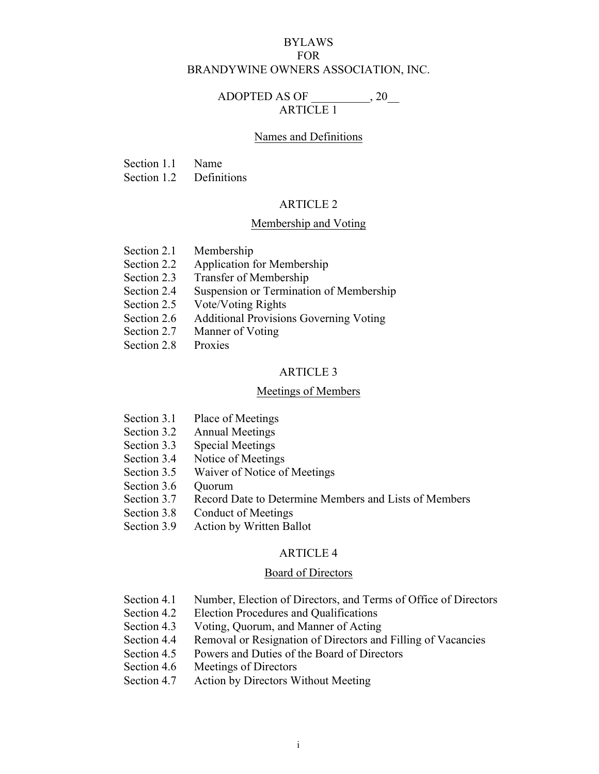# BYLAWS FOR BRANDYWINE OWNERS ASSOCIATION, INC.

# ADOPTED AS OF  $, 20$ ARTICLE 1

### Names and Definitions

Section 1.1 Name

Section 1.2 Definitions

## ARTICLE 2

## Membership and Voting

- Section 2.1 Membership
- Section 2.2 Application for Membership
- Section 2.3 Transfer of Membership
- Section 2.4 Suspension or Termination of Membership
- Section 2.5 Vote/Voting Rights
- Section 2.6 Additional Provisions Governing Voting
- Section 2.7 Manner of Voting
- Section 2.8 Proxies

## ARTICLE 3

#### Meetings of Members

- Section 3.1 Place of Meetings
- Section 3.2 Annual Meetings
- Section 3.3 Special Meetings
- Section 3.4 Notice of Meetings
- Section 3.5 Waiver of Notice of Meetings
- Section 3.6 Ouorum
- Section 3.7 Record Date to Determine Members and Lists of Members
- Section 3.8 Conduct of Meetings
- Section 3.9 Action by Written Ballot

### ARTICLE 4

#### Board of Directors

- Section 4.1 Number, Election of Directors, and Terms of Office of Directors
- Section 4.2 Election Procedures and Qualifications
- Section 4.3 Voting, Quorum, and Manner of Acting
- Section 4.4 Removal or Resignation of Directors and Filling of Vacancies
- Section 4.5 Powers and Duties of the Board of Directors
- Section 4.6 Meetings of Directors
- Section 4.7 Action by Directors Without Meeting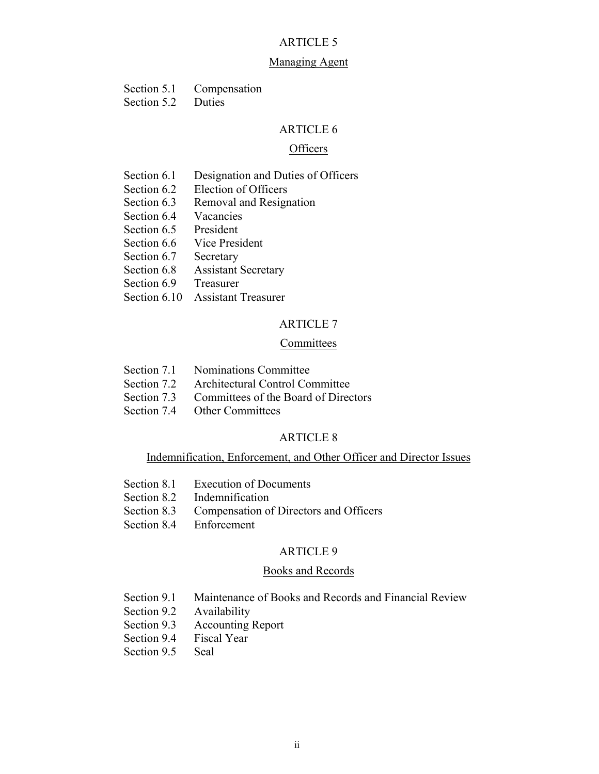## Managing Agent

| Section 5.1             | Compensation   |
|-------------------------|----------------|
| $\Gamma$ cotion $\zeta$ | D <sub>u</sub> |

#### Section 5.2 Duties

## ARTICLE 6

#### **Officers**

- Section 6.1 Designation and Duties of Officers
- Section 6.2 Election of Officers
- Section 6.3 Removal and Resignation
- Section 6.4 Vacancies
- Section 6.5 President
- Section 6.6 Vice President
- Section 6.7 Secretary
- Section 6.8 Assistant Secretary
- Section 6.9 Treasurer
- Section 6.10 Assistant Treasurer

# ARTICLE 7

## **Committees**

- Section 7.1 Nominations Committee
- Section 7.2 Architectural Control Committee
- Section 7.3 Committees of the Board of Directors
- Section 7.4 Other Committees

# ARTICLE 8

## Indemnification, Enforcement, and Other Officer and Director Issues

- Section 8.1 Execution of Documents
- Section 8.2 Indemnification
- Section 8.3 Compensation of Directors and Officers
- Section 8.4 Enforcement

## ARTICLE 9

#### Books and Records

- Section 9.1 Maintenance of Books and Records and Financial Review
- Section 9.2 Availability
- Section 9.3 Accounting Report
- Section 9.4 Fiscal Year
- Section 9.5 Seal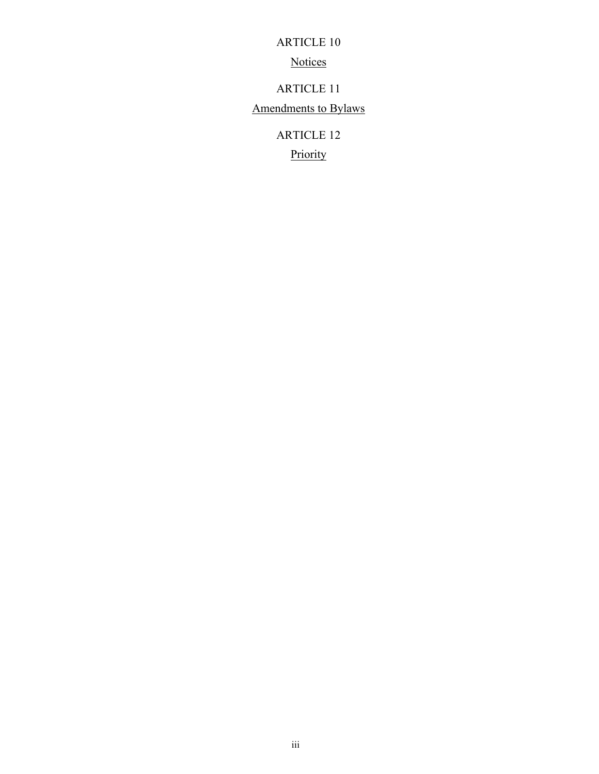**Notices** 

ARTICLE 11

Amendments to Bylaws

ARTICLE 12

**Priority**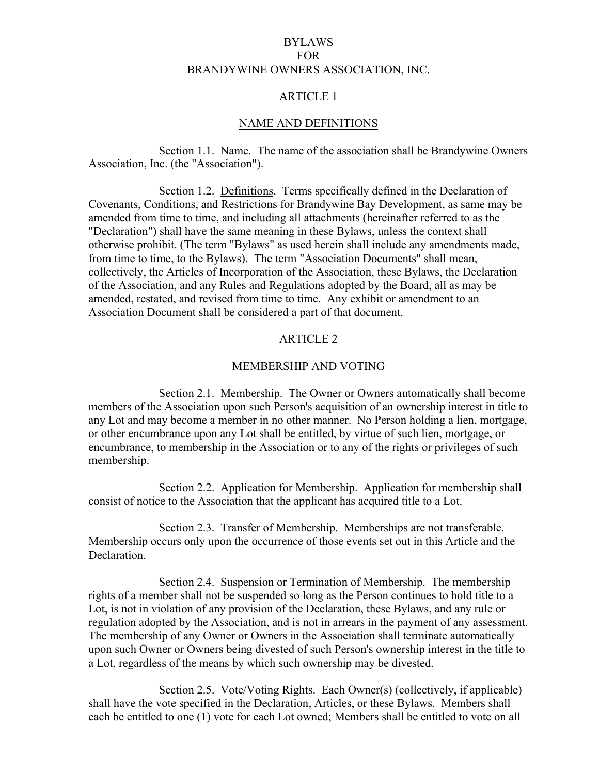# BYLAWS FOR BRANDYWINE OWNERS ASSOCIATION, INC.

# ARTICLE 1

## NAME AND DEFINITIONS

Section 1.1. Name. The name of the association shall be Brandywine Owners Association, Inc. (the "Association").

Section 1.2. Definitions. Terms specifically defined in the Declaration of Covenants, Conditions, and Restrictions for Brandywine Bay Development, as same may be amended from time to time, and including all attachments (hereinafter referred to as the "Declaration") shall have the same meaning in these Bylaws, unless the context shall otherwise prohibit. (The term "Bylaws" as used herein shall include any amendments made, from time to time, to the Bylaws). The term "Association Documents" shall mean, collectively, the Articles of Incorporation of the Association, these Bylaws, the Declaration of the Association, and any Rules and Regulations adopted by the Board, all as may be amended, restated, and revised from time to time. Any exhibit or amendment to an Association Document shall be considered a part of that document.

# ARTICLE 2

### MEMBERSHIP AND VOTING

Section 2.1. Membership. The Owner or Owners automatically shall become members of the Association upon such Person's acquisition of an ownership interest in title to any Lot and may become a member in no other manner. No Person holding a lien, mortgage, or other encumbrance upon any Lot shall be entitled, by virtue of such lien, mortgage, or encumbrance, to membership in the Association or to any of the rights or privileges of such membership.

Section 2.2. Application for Membership. Application for membership shall consist of notice to the Association that the applicant has acquired title to a Lot.

Section 2.3. Transfer of Membership. Memberships are not transferable. Membership occurs only upon the occurrence of those events set out in this Article and the Declaration.

Section 2.4. Suspension or Termination of Membership. The membership rights of a member shall not be suspended so long as the Person continues to hold title to a Lot, is not in violation of any provision of the Declaration, these Bylaws, and any rule or regulation adopted by the Association, and is not in arrears in the payment of any assessment. The membership of any Owner or Owners in the Association shall terminate automatically upon such Owner or Owners being divested of such Person's ownership interest in the title to a Lot, regardless of the means by which such ownership may be divested.

Section 2.5. Vote/Voting Rights. Each Owner(s) (collectively, if applicable) shall have the vote specified in the Declaration, Articles, or these Bylaws. Members shall each be entitled to one (1) vote for each Lot owned; Members shall be entitled to vote on all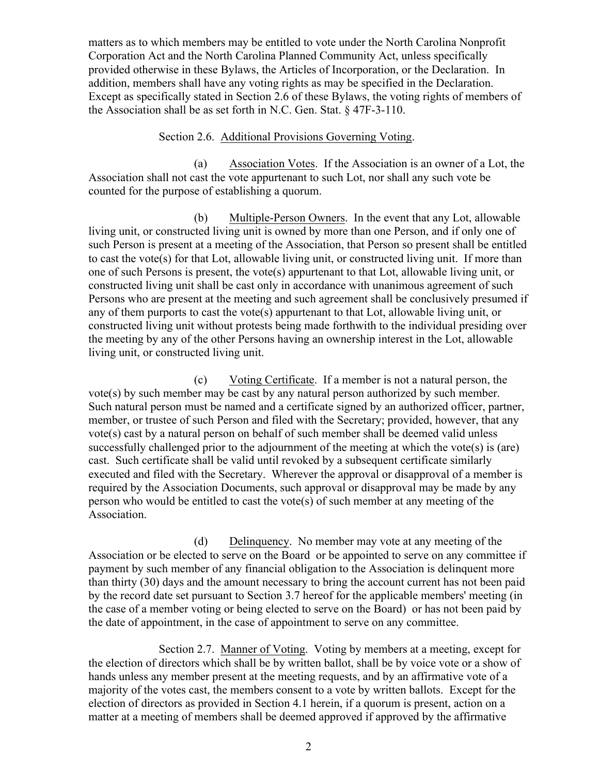matters as to which members may be entitled to vote under the North Carolina Nonprofit Corporation Act and the North Carolina Planned Community Act, unless specifically provided otherwise in these Bylaws, the Articles of Incorporation, or the Declaration. In addition, members shall have any voting rights as may be specified in the Declaration. Except as specifically stated in Section 2.6 of these Bylaws, the voting rights of members of the Association shall be as set forth in N.C. Gen. Stat. § 47F-3-110.

# Section 2.6. Additional Provisions Governing Voting.

(a) Association Votes. If the Association is an owner of a Lot, the Association shall not cast the vote appurtenant to such Lot, nor shall any such vote be counted for the purpose of establishing a quorum.

(b) Multiple-Person Owners. In the event that any Lot, allowable living unit, or constructed living unit is owned by more than one Person, and if only one of such Person is present at a meeting of the Association, that Person so present shall be entitled to cast the vote(s) for that Lot, allowable living unit, or constructed living unit. If more than one of such Persons is present, the vote(s) appurtenant to that Lot, allowable living unit, or constructed living unit shall be cast only in accordance with unanimous agreement of such Persons who are present at the meeting and such agreement shall be conclusively presumed if any of them purports to cast the vote(s) appurtenant to that Lot, allowable living unit, or constructed living unit without protests being made forthwith to the individual presiding over the meeting by any of the other Persons having an ownership interest in the Lot, allowable living unit, or constructed living unit.

(c) Voting Certificate. If a member is not a natural person, the vote(s) by such member may be cast by any natural person authorized by such member. Such natural person must be named and a certificate signed by an authorized officer, partner, member, or trustee of such Person and filed with the Secretary; provided, however, that any vote(s) cast by a natural person on behalf of such member shall be deemed valid unless successfully challenged prior to the adjournment of the meeting at which the vote(s) is (are) cast. Such certificate shall be valid until revoked by a subsequent certificate similarly executed and filed with the Secretary. Wherever the approval or disapproval of a member is required by the Association Documents, such approval or disapproval may be made by any person who would be entitled to cast the vote(s) of such member at any meeting of the Association.

(d) Delinquency. No member may vote at any meeting of the Association or be elected to serve on the Board or be appointed to serve on any committee if payment by such member of any financial obligation to the Association is delinquent more than thirty (30) days and the amount necessary to bring the account current has not been paid by the record date set pursuant to Section 3.7 hereof for the applicable members' meeting (in the case of a member voting or being elected to serve on the Board) or has not been paid by the date of appointment, in the case of appointment to serve on any committee.

Section 2.7. Manner of Voting. Voting by members at a meeting, except for the election of directors which shall be by written ballot, shall be by voice vote or a show of hands unless any member present at the meeting requests, and by an affirmative vote of a majority of the votes cast, the members consent to a vote by written ballots. Except for the election of directors as provided in Section 4.1 herein, if a quorum is present, action on a matter at a meeting of members shall be deemed approved if approved by the affirmative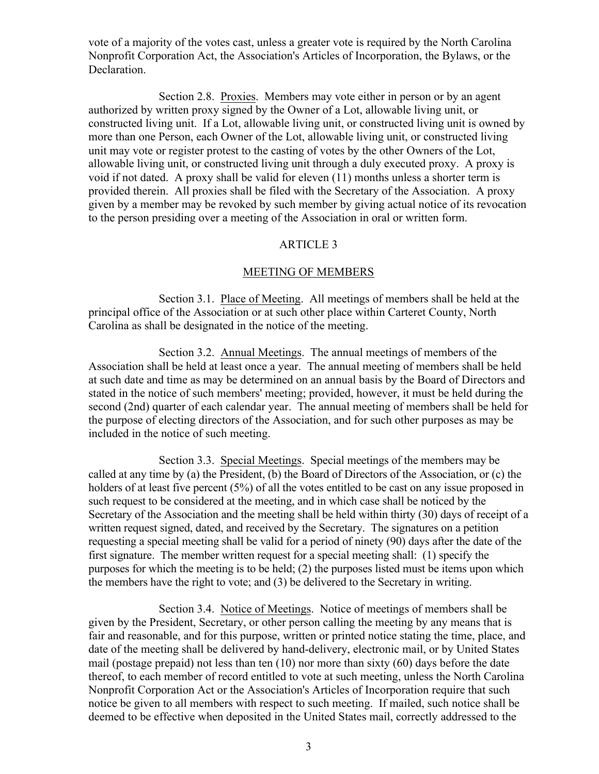vote of a majority of the votes cast, unless a greater vote is required by the North Carolina Nonprofit Corporation Act, the Association's Articles of Incorporation, the Bylaws, or the Declaration.

Section 2.8. Proxies. Members may vote either in person or by an agent authorized by written proxy signed by the Owner of a Lot, allowable living unit, or constructed living unit. If a Lot, allowable living unit, or constructed living unit is owned by more than one Person, each Owner of the Lot, allowable living unit, or constructed living unit may vote or register protest to the casting of votes by the other Owners of the Lot, allowable living unit, or constructed living unit through a duly executed proxy. A proxy is void if not dated. A proxy shall be valid for eleven (11) months unless a shorter term is provided therein. All proxies shall be filed with the Secretary of the Association. A proxy given by a member may be revoked by such member by giving actual notice of its revocation to the person presiding over a meeting of the Association in oral or written form.

# ARTICLE 3

## MEETING OF MEMBERS

Section 3.1. Place of Meeting. All meetings of members shall be held at the principal office of the Association or at such other place within Carteret County, North Carolina as shall be designated in the notice of the meeting.

Section 3.2. Annual Meetings. The annual meetings of members of the Association shall be held at least once a year. The annual meeting of members shall be held at such date and time as may be determined on an annual basis by the Board of Directors and stated in the notice of such members' meeting; provided, however, it must be held during the second (2nd) quarter of each calendar year. The annual meeting of members shall be held for the purpose of electing directors of the Association, and for such other purposes as may be included in the notice of such meeting.

Section 3.3. Special Meetings. Special meetings of the members may be called at any time by (a) the President, (b) the Board of Directors of the Association, or (c) the holders of at least five percent (5%) of all the votes entitled to be cast on any issue proposed in such request to be considered at the meeting, and in which case shall be noticed by the Secretary of the Association and the meeting shall be held within thirty (30) days of receipt of a written request signed, dated, and received by the Secretary. The signatures on a petition requesting a special meeting shall be valid for a period of ninety (90) days after the date of the first signature. The member written request for a special meeting shall: (1) specify the purposes for which the meeting is to be held; (2) the purposes listed must be items upon which the members have the right to vote; and (3) be delivered to the Secretary in writing.

Section 3.4. Notice of Meetings. Notice of meetings of members shall be given by the President, Secretary, or other person calling the meeting by any means that is fair and reasonable, and for this purpose, written or printed notice stating the time, place, and date of the meeting shall be delivered by hand-delivery, electronic mail, or by United States mail (postage prepaid) not less than ten  $(10)$  nor more than sixty  $(60)$  days before the date thereof, to each member of record entitled to vote at such meeting, unless the North Carolina Nonprofit Corporation Act or the Association's Articles of Incorporation require that such notice be given to all members with respect to such meeting. If mailed, such notice shall be deemed to be effective when deposited in the United States mail, correctly addressed to the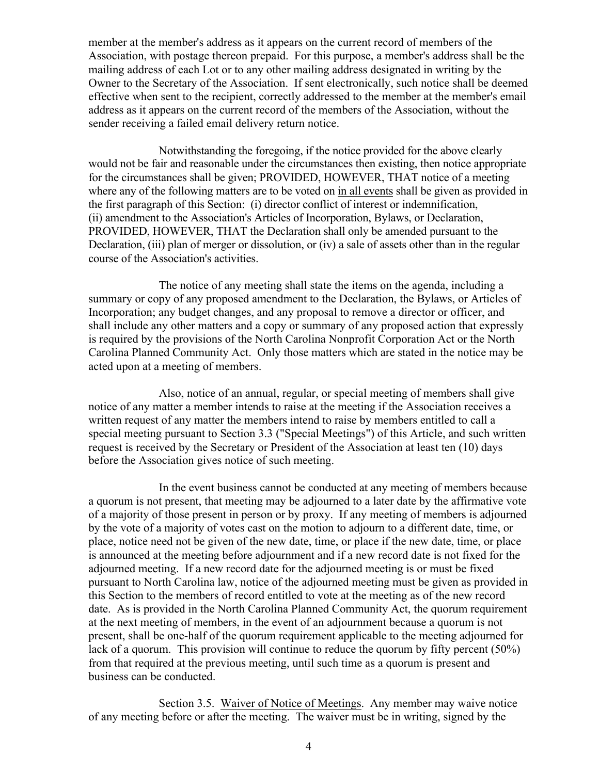member at the member's address as it appears on the current record of members of the Association, with postage thereon prepaid. For this purpose, a member's address shall be the mailing address of each Lot or to any other mailing address designated in writing by the Owner to the Secretary of the Association. If sent electronically, such notice shall be deemed effective when sent to the recipient, correctly addressed to the member at the member's email address as it appears on the current record of the members of the Association, without the sender receiving a failed email delivery return notice.

Notwithstanding the foregoing, if the notice provided for the above clearly would not be fair and reasonable under the circumstances then existing, then notice appropriate for the circumstances shall be given; PROVIDED, HOWEVER, THAT notice of a meeting where any of the following matters are to be voted on in all events shall be given as provided in the first paragraph of this Section: (i) director conflict of interest or indemnification, (ii) amendment to the Association's Articles of Incorporation, Bylaws, or Declaration, PROVIDED, HOWEVER, THAT the Declaration shall only be amended pursuant to the Declaration, (iii) plan of merger or dissolution, or (iv) a sale of assets other than in the regular course of the Association's activities.

The notice of any meeting shall state the items on the agenda, including a summary or copy of any proposed amendment to the Declaration, the Bylaws, or Articles of Incorporation; any budget changes, and any proposal to remove a director or officer, and shall include any other matters and a copy or summary of any proposed action that expressly is required by the provisions of the North Carolina Nonprofit Corporation Act or the North Carolina Planned Community Act. Only those matters which are stated in the notice may be acted upon at a meeting of members.

Also, notice of an annual, regular, or special meeting of members shall give notice of any matter a member intends to raise at the meeting if the Association receives a written request of any matter the members intend to raise by members entitled to call a special meeting pursuant to Section 3.3 ("Special Meetings") of this Article, and such written request is received by the Secretary or President of the Association at least ten (10) days before the Association gives notice of such meeting.

In the event business cannot be conducted at any meeting of members because a quorum is not present, that meeting may be adjourned to a later date by the affirmative vote of a majority of those present in person or by proxy. If any meeting of members is adjourned by the vote of a majority of votes cast on the motion to adjourn to a different date, time, or place, notice need not be given of the new date, time, or place if the new date, time, or place is announced at the meeting before adjournment and if a new record date is not fixed for the adjourned meeting. If a new record date for the adjourned meeting is or must be fixed pursuant to North Carolina law, notice of the adjourned meeting must be given as provided in this Section to the members of record entitled to vote at the meeting as of the new record date. As is provided in the North Carolina Planned Community Act, the quorum requirement at the next meeting of members, in the event of an adjournment because a quorum is not present, shall be one-half of the quorum requirement applicable to the meeting adjourned for lack of a quorum. This provision will continue to reduce the quorum by fifty percent (50%) from that required at the previous meeting, until such time as a quorum is present and business can be conducted.

Section 3.5. Waiver of Notice of Meetings. Any member may waive notice of any meeting before or after the meeting. The waiver must be in writing, signed by the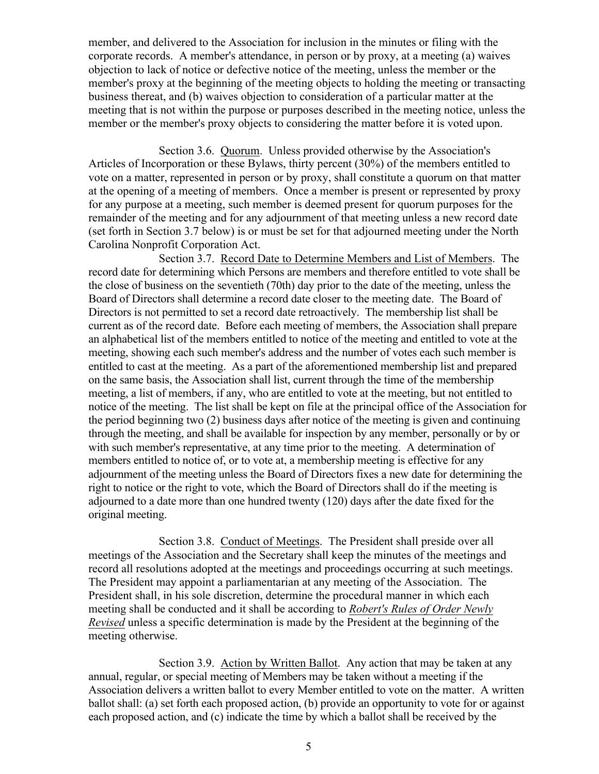member, and delivered to the Association for inclusion in the minutes or filing with the corporate records. A member's attendance, in person or by proxy, at a meeting (a) waives objection to lack of notice or defective notice of the meeting, unless the member or the member's proxy at the beginning of the meeting objects to holding the meeting or transacting business thereat, and (b) waives objection to consideration of a particular matter at the meeting that is not within the purpose or purposes described in the meeting notice, unless the member or the member's proxy objects to considering the matter before it is voted upon.

Section 3.6. Quorum. Unless provided otherwise by the Association's Articles of Incorporation or these Bylaws, thirty percent (30%) of the members entitled to vote on a matter, represented in person or by proxy, shall constitute a quorum on that matter at the opening of a meeting of members. Once a member is present or represented by proxy for any purpose at a meeting, such member is deemed present for quorum purposes for the remainder of the meeting and for any adjournment of that meeting unless a new record date (set forth in Section 3.7 below) is or must be set for that adjourned meeting under the North Carolina Nonprofit Corporation Act.

Section 3.7. Record Date to Determine Members and List of Members. The record date for determining which Persons are members and therefore entitled to vote shall be the close of business on the seventieth (70th) day prior to the date of the meeting, unless the Board of Directors shall determine a record date closer to the meeting date. The Board of Directors is not permitted to set a record date retroactively. The membership list shall be current as of the record date. Before each meeting of members, the Association shall prepare an alphabetical list of the members entitled to notice of the meeting and entitled to vote at the meeting, showing each such member's address and the number of votes each such member is entitled to cast at the meeting. As a part of the aforementioned membership list and prepared on the same basis, the Association shall list, current through the time of the membership meeting, a list of members, if any, who are entitled to vote at the meeting, but not entitled to notice of the meeting. The list shall be kept on file at the principal office of the Association for the period beginning two (2) business days after notice of the meeting is given and continuing through the meeting, and shall be available for inspection by any member, personally or by or with such member's representative, at any time prior to the meeting. A determination of members entitled to notice of, or to vote at, a membership meeting is effective for any adjournment of the meeting unless the Board of Directors fixes a new date for determining the right to notice or the right to vote, which the Board of Directors shall do if the meeting is adjourned to a date more than one hundred twenty (120) days after the date fixed for the original meeting.

Section 3.8. Conduct of Meetings. The President shall preside over all meetings of the Association and the Secretary shall keep the minutes of the meetings and record all resolutions adopted at the meetings and proceedings occurring at such meetings. The President may appoint a parliamentarian at any meeting of the Association. The President shall, in his sole discretion, determine the procedural manner in which each meeting shall be conducted and it shall be according to *Robert's Rules of Order Newly Revised* unless a specific determination is made by the President at the beginning of the meeting otherwise.

Section 3.9. Action by Written Ballot. Any action that may be taken at any annual, regular, or special meeting of Members may be taken without a meeting if the Association delivers a written ballot to every Member entitled to vote on the matter. A written ballot shall: (a) set forth each proposed action, (b) provide an opportunity to vote for or against each proposed action, and (c) indicate the time by which a ballot shall be received by the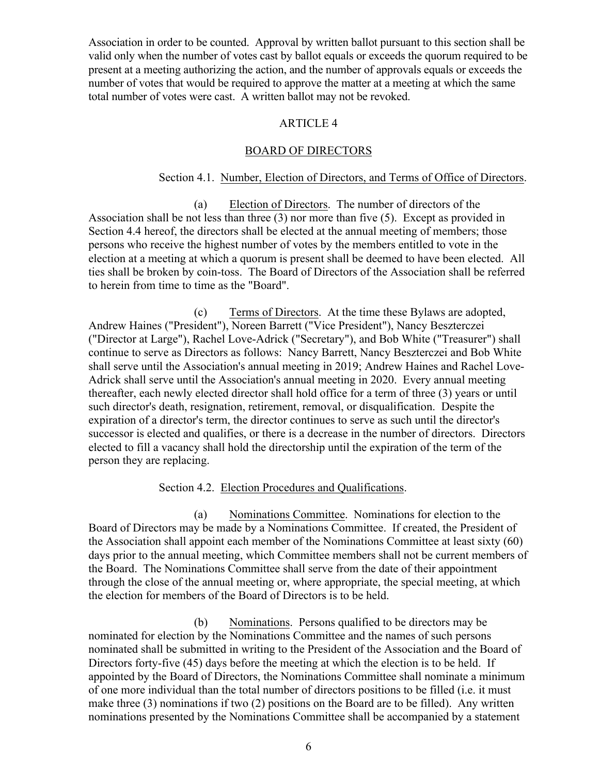Association in order to be counted. Approval by written ballot pursuant to this section shall be valid only when the number of votes cast by ballot equals or exceeds the quorum required to be present at a meeting authorizing the action, and the number of approvals equals or exceeds the number of votes that would be required to approve the matter at a meeting at which the same total number of votes were cast. A written ballot may not be revoked.

# ARTICLE 4

# BOARD OF DIRECTORS

# Section 4.1. Number, Election of Directors, and Terms of Office of Directors.

(a) Election of Directors. The number of directors of the Association shall be not less than three (3) nor more than five (5). Except as provided in Section 4.4 hereof, the directors shall be elected at the annual meeting of members; those persons who receive the highest number of votes by the members entitled to vote in the election at a meeting at which a quorum is present shall be deemed to have been elected. All ties shall be broken by coin-toss. The Board of Directors of the Association shall be referred to herein from time to time as the "Board".

(c) Terms of Directors. At the time these Bylaws are adopted, Andrew Haines ("President"), Noreen Barrett ("Vice President"), Nancy Beszterczei ("Director at Large"), Rachel Love-Adrick ("Secretary"), and Bob White ("Treasurer") shall continue to serve as Directors as follows: Nancy Barrett, Nancy Beszterczei and Bob White shall serve until the Association's annual meeting in 2019; Andrew Haines and Rachel Love-Adrick shall serve until the Association's annual meeting in 2020. Every annual meeting thereafter, each newly elected director shall hold office for a term of three (3) years or until such director's death, resignation, retirement, removal, or disqualification. Despite the expiration of a director's term, the director continues to serve as such until the director's successor is elected and qualifies, or there is a decrease in the number of directors. Directors elected to fill a vacancy shall hold the directorship until the expiration of the term of the person they are replacing.

Section 4.2. Election Procedures and Qualifications.

(a) Nominations Committee. Nominations for election to the Board of Directors may be made by a Nominations Committee. If created, the President of the Association shall appoint each member of the Nominations Committee at least sixty (60) days prior to the annual meeting, which Committee members shall not be current members of the Board. The Nominations Committee shall serve from the date of their appointment through the close of the annual meeting or, where appropriate, the special meeting, at which the election for members of the Board of Directors is to be held.

(b) Nominations. Persons qualified to be directors may be nominated for election by the Nominations Committee and the names of such persons nominated shall be submitted in writing to the President of the Association and the Board of Directors forty-five (45) days before the meeting at which the election is to be held. If appointed by the Board of Directors, the Nominations Committee shall nominate a minimum of one more individual than the total number of directors positions to be filled (i.e. it must make three (3) nominations if two (2) positions on the Board are to be filled). Any written nominations presented by the Nominations Committee shall be accompanied by a statement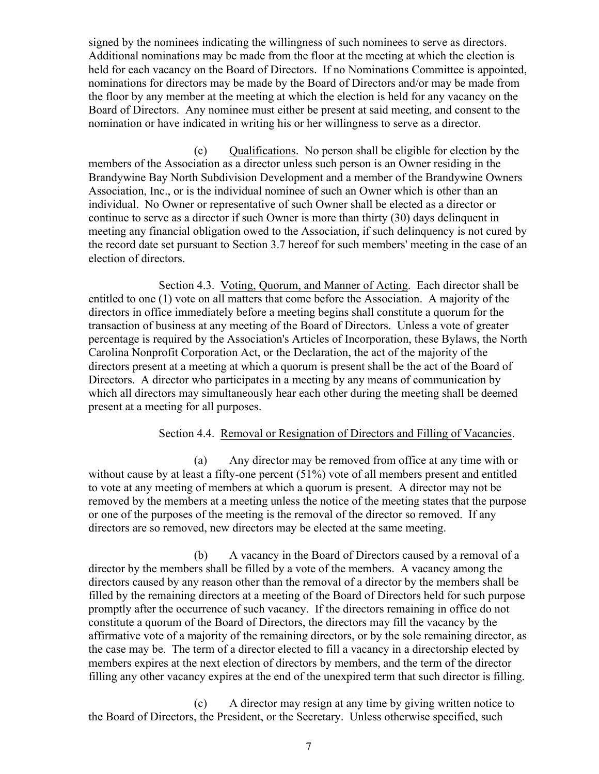signed by the nominees indicating the willingness of such nominees to serve as directors. Additional nominations may be made from the floor at the meeting at which the election is held for each vacancy on the Board of Directors. If no Nominations Committee is appointed, nominations for directors may be made by the Board of Directors and/or may be made from the floor by any member at the meeting at which the election is held for any vacancy on the Board of Directors. Any nominee must either be present at said meeting, and consent to the nomination or have indicated in writing his or her willingness to serve as a director.

(c) Qualifications. No person shall be eligible for election by the members of the Association as a director unless such person is an Owner residing in the Brandywine Bay North Subdivision Development and a member of the Brandywine Owners Association, Inc., or is the individual nominee of such an Owner which is other than an individual. No Owner or representative of such Owner shall be elected as a director or continue to serve as a director if such Owner is more than thirty (30) days delinquent in meeting any financial obligation owed to the Association, if such delinquency is not cured by the record date set pursuant to Section 3.7 hereof for such members' meeting in the case of an election of directors.

Section 4.3. Voting, Quorum, and Manner of Acting. Each director shall be entitled to one (1) vote on all matters that come before the Association. A majority of the directors in office immediately before a meeting begins shall constitute a quorum for the transaction of business at any meeting of the Board of Directors. Unless a vote of greater percentage is required by the Association's Articles of Incorporation, these Bylaws, the North Carolina Nonprofit Corporation Act, or the Declaration, the act of the majority of the directors present at a meeting at which a quorum is present shall be the act of the Board of Directors. A director who participates in a meeting by any means of communication by which all directors may simultaneously hear each other during the meeting shall be deemed present at a meeting for all purposes.

# Section 4.4. Removal or Resignation of Directors and Filling of Vacancies.

(a) Any director may be removed from office at any time with or without cause by at least a fifty-one percent (51%) vote of all members present and entitled to vote at any meeting of members at which a quorum is present. A director may not be removed by the members at a meeting unless the notice of the meeting states that the purpose or one of the purposes of the meeting is the removal of the director so removed. If any directors are so removed, new directors may be elected at the same meeting.

(b) A vacancy in the Board of Directors caused by a removal of a director by the members shall be filled by a vote of the members. A vacancy among the directors caused by any reason other than the removal of a director by the members shall be filled by the remaining directors at a meeting of the Board of Directors held for such purpose promptly after the occurrence of such vacancy. If the directors remaining in office do not constitute a quorum of the Board of Directors, the directors may fill the vacancy by the affirmative vote of a majority of the remaining directors, or by the sole remaining director, as the case may be. The term of a director elected to fill a vacancy in a directorship elected by members expires at the next election of directors by members, and the term of the director filling any other vacancy expires at the end of the unexpired term that such director is filling.

(c) A director may resign at any time by giving written notice to the Board of Directors, the President, or the Secretary. Unless otherwise specified, such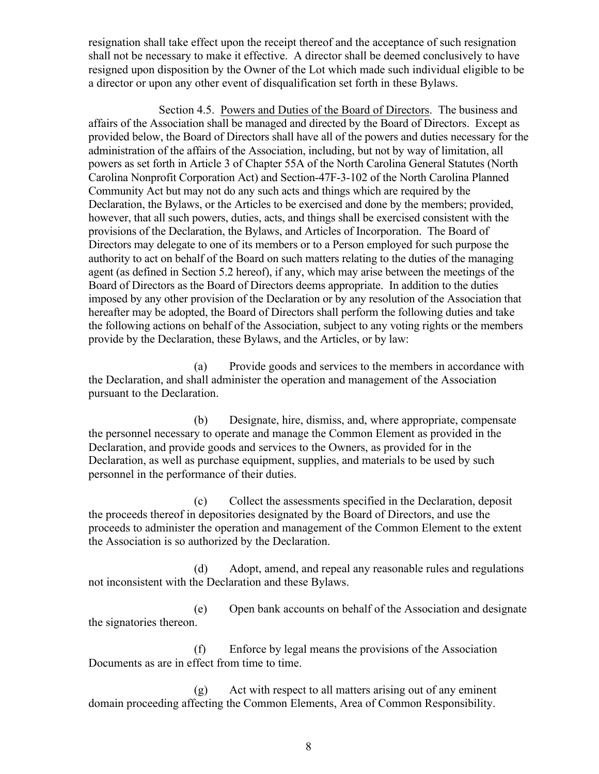resignation shall take effect upon the receipt thereof and the acceptance of such resignation shall not be necessary to make it effective. A director shall be deemed conclusively to have resigned upon disposition by the Owner of the Lot which made such individual eligible to be a director or upon any other event of disqualification set forth in these Bylaws.

Section 4.5. Powers and Duties of the Board of Directors. The business and affairs of the Association shall be managed and directed by the Board of Directors. Except as provided below, the Board of Directors shall have all of the powers and duties necessary for the administration of the affairs of the Association, including, but not by way of limitation, all powers as set forth in Article 3 of Chapter 55A of the North Carolina General Statutes (North Carolina Nonprofit Corporation Act) and Section-47F-3-102 of the North Carolina Planned Community Act but may not do any such acts and things which are required by the Declaration, the Bylaws, or the Articles to be exercised and done by the members; provided, however, that all such powers, duties, acts, and things shall be exercised consistent with the provisions of the Declaration, the Bylaws, and Articles of Incorporation. The Board of Directors may delegate to one of its members or to a Person employed for such purpose the authority to act on behalf of the Board on such matters relating to the duties of the managing agent (as defined in Section 5.2 hereof), if any, which may arise between the meetings of the Board of Directors as the Board of Directors deems appropriate. In addition to the duties imposed by any other provision of the Declaration or by any resolution of the Association that hereafter may be adopted, the Board of Directors shall perform the following duties and take the following actions on behalf of the Association, subject to any voting rights or the members provide by the Declaration, these Bylaws, and the Articles, or by law:

(a) Provide goods and services to the members in accordance with the Declaration, and shall administer the operation and management of the Association pursuant to the Declaration.

(b) Designate, hire, dismiss, and, where appropriate, compensate the personnel necessary to operate and manage the Common Element as provided in the Declaration, and provide goods and services to the Owners, as provided for in the Declaration, as well as purchase equipment, supplies, and materials to be used by such personnel in the performance of their duties.

(c) Collect the assessments specified in the Declaration, deposit the proceeds thereof in depositories designated by the Board of Directors, and use the proceeds to administer the operation and management of the Common Element to the extent the Association is so authorized by the Declaration.

(d) Adopt, amend, and repeal any reasonable rules and regulations not inconsistent with the Declaration and these Bylaws.

(e) Open bank accounts on behalf of the Association and designate the signatories thereon.

(f) Enforce by legal means the provisions of the Association Documents as are in effect from time to time.

(g) Act with respect to all matters arising out of any eminent domain proceeding affecting the Common Elements, Area of Common Responsibility.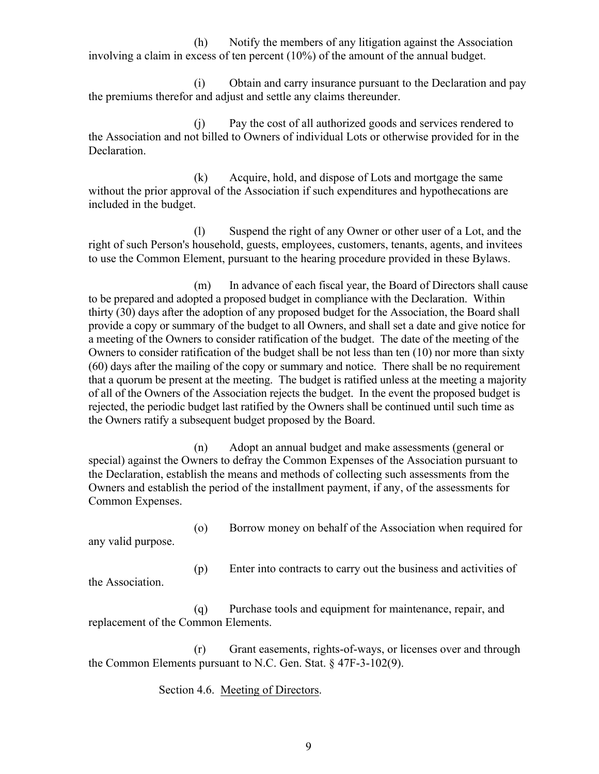(h) Notify the members of any litigation against the Association involving a claim in excess of ten percent (10%) of the amount of the annual budget.

(i) Obtain and carry insurance pursuant to the Declaration and pay the premiums therefor and adjust and settle any claims thereunder.

(j) Pay the cost of all authorized goods and services rendered to the Association and not billed to Owners of individual Lots or otherwise provided for in the Declaration.

(k) Acquire, hold, and dispose of Lots and mortgage the same without the prior approval of the Association if such expenditures and hypothecations are included in the budget.

(l) Suspend the right of any Owner or other user of a Lot, and the right of such Person's household, guests, employees, customers, tenants, agents, and invitees to use the Common Element, pursuant to the hearing procedure provided in these Bylaws.

(m) In advance of each fiscal year, the Board of Directors shall cause to be prepared and adopted a proposed budget in compliance with the Declaration. Within thirty (30) days after the adoption of any proposed budget for the Association, the Board shall provide a copy or summary of the budget to all Owners, and shall set a date and give notice for a meeting of the Owners to consider ratification of the budget. The date of the meeting of the Owners to consider ratification of the budget shall be not less than ten (10) nor more than sixty (60) days after the mailing of the copy or summary and notice. There shall be no requirement that a quorum be present at the meeting. The budget is ratified unless at the meeting a majority of all of the Owners of the Association rejects the budget. In the event the proposed budget is rejected, the periodic budget last ratified by the Owners shall be continued until such time as the Owners ratify a subsequent budget proposed by the Board.

(n) Adopt an annual budget and make assessments (general or special) against the Owners to defray the Common Expenses of the Association pursuant to the Declaration, establish the means and methods of collecting such assessments from the Owners and establish the period of the installment payment, if any, of the assessments for Common Expenses.

(o) Borrow money on behalf of the Association when required for

any valid purpose.

(p) Enter into contracts to carry out the business and activities of

the Association.

(q) Purchase tools and equipment for maintenance, repair, and replacement of the Common Elements.

(r) Grant easements, rights-of-ways, or licenses over and through the Common Elements pursuant to N.C. Gen. Stat. § 47F-3-102(9).

Section 4.6. Meeting of Directors.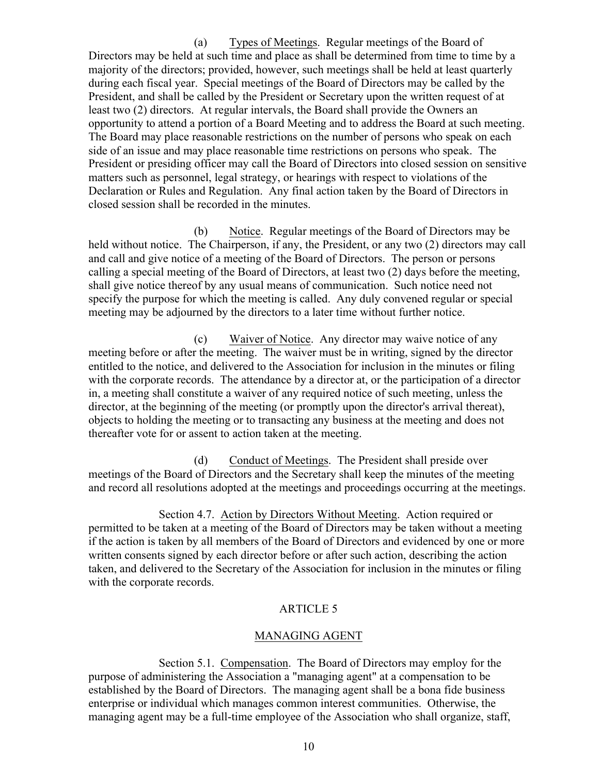(a) Types of Meetings. Regular meetings of the Board of Directors may be held at such time and place as shall be determined from time to time by a majority of the directors; provided, however, such meetings shall be held at least quarterly during each fiscal year. Special meetings of the Board of Directors may be called by the President, and shall be called by the President or Secretary upon the written request of at least two (2) directors. At regular intervals, the Board shall provide the Owners an opportunity to attend a portion of a Board Meeting and to address the Board at such meeting. The Board may place reasonable restrictions on the number of persons who speak on each side of an issue and may place reasonable time restrictions on persons who speak. The President or presiding officer may call the Board of Directors into closed session on sensitive matters such as personnel, legal strategy, or hearings with respect to violations of the Declaration or Rules and Regulation. Any final action taken by the Board of Directors in closed session shall be recorded in the minutes.

(b) Notice. Regular meetings of the Board of Directors may be held without notice. The Chairperson, if any, the President, or any two (2) directors may call and call and give notice of a meeting of the Board of Directors. The person or persons calling a special meeting of the Board of Directors, at least two (2) days before the meeting, shall give notice thereof by any usual means of communication. Such notice need not specify the purpose for which the meeting is called. Any duly convened regular or special meeting may be adjourned by the directors to a later time without further notice.

(c) Waiver of Notice. Any director may waive notice of any meeting before or after the meeting. The waiver must be in writing, signed by the director entitled to the notice, and delivered to the Association for inclusion in the minutes or filing with the corporate records. The attendance by a director at, or the participation of a director in, a meeting shall constitute a waiver of any required notice of such meeting, unless the director, at the beginning of the meeting (or promptly upon the director's arrival thereat), objects to holding the meeting or to transacting any business at the meeting and does not thereafter vote for or assent to action taken at the meeting.

(d) Conduct of Meetings. The President shall preside over meetings of the Board of Directors and the Secretary shall keep the minutes of the meeting and record all resolutions adopted at the meetings and proceedings occurring at the meetings.

Section 4.7. Action by Directors Without Meeting. Action required or permitted to be taken at a meeting of the Board of Directors may be taken without a meeting if the action is taken by all members of the Board of Directors and evidenced by one or more written consents signed by each director before or after such action, describing the action taken, and delivered to the Secretary of the Association for inclusion in the minutes or filing with the corporate records.

# ARTICLE 5

# MANAGING AGENT

Section 5.1. Compensation. The Board of Directors may employ for the purpose of administering the Association a "managing agent" at a compensation to be established by the Board of Directors. The managing agent shall be a bona fide business enterprise or individual which manages common interest communities. Otherwise, the managing agent may be a full-time employee of the Association who shall organize, staff,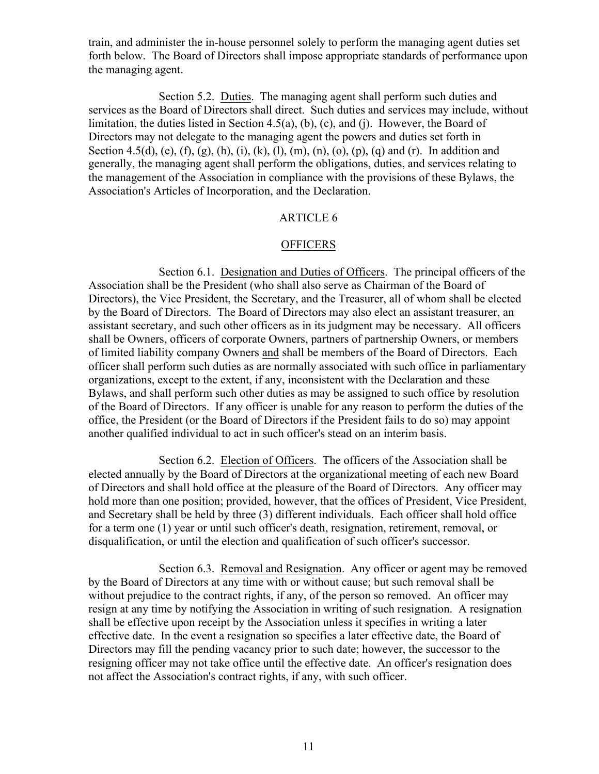train, and administer the in-house personnel solely to perform the managing agent duties set forth below. The Board of Directors shall impose appropriate standards of performance upon the managing agent.

Section 5.2. Duties. The managing agent shall perform such duties and services as the Board of Directors shall direct. Such duties and services may include, without limitation, the duties listed in Section 4.5(a), (b), (c), and (j). However, the Board of Directors may not delegate to the managing agent the powers and duties set forth in Section 4.5(d), (e), (f), (g), (h), (i), (k), (l), (m), (n), (o), (p), (q) and (r). In addition and generally, the managing agent shall perform the obligations, duties, and services relating to the management of the Association in compliance with the provisions of these Bylaws, the Association's Articles of Incorporation, and the Declaration.

# ARTICLE 6

## **OFFICERS**

Section 6.1. Designation and Duties of Officers. The principal officers of the Association shall be the President (who shall also serve as Chairman of the Board of Directors), the Vice President, the Secretary, and the Treasurer, all of whom shall be elected by the Board of Directors. The Board of Directors may also elect an assistant treasurer, an assistant secretary, and such other officers as in its judgment may be necessary. All officers shall be Owners, officers of corporate Owners, partners of partnership Owners, or members of limited liability company Owners and shall be members of the Board of Directors. Each officer shall perform such duties as are normally associated with such office in parliamentary organizations, except to the extent, if any, inconsistent with the Declaration and these Bylaws, and shall perform such other duties as may be assigned to such office by resolution of the Board of Directors. If any officer is unable for any reason to perform the duties of the office, the President (or the Board of Directors if the President fails to do so) may appoint another qualified individual to act in such officer's stead on an interim basis.

Section 6.2. Election of Officers. The officers of the Association shall be elected annually by the Board of Directors at the organizational meeting of each new Board of Directors and shall hold office at the pleasure of the Board of Directors. Any officer may hold more than one position; provided, however, that the offices of President, Vice President, and Secretary shall be held by three (3) different individuals. Each officer shall hold office for a term one (1) year or until such officer's death, resignation, retirement, removal, or disqualification, or until the election and qualification of such officer's successor.

Section 6.3. Removal and Resignation. Any officer or agent may be removed by the Board of Directors at any time with or without cause; but such removal shall be without prejudice to the contract rights, if any, of the person so removed. An officer may resign at any time by notifying the Association in writing of such resignation. A resignation shall be effective upon receipt by the Association unless it specifies in writing a later effective date. In the event a resignation so specifies a later effective date, the Board of Directors may fill the pending vacancy prior to such date; however, the successor to the resigning officer may not take office until the effective date. An officer's resignation does not affect the Association's contract rights, if any, with such officer.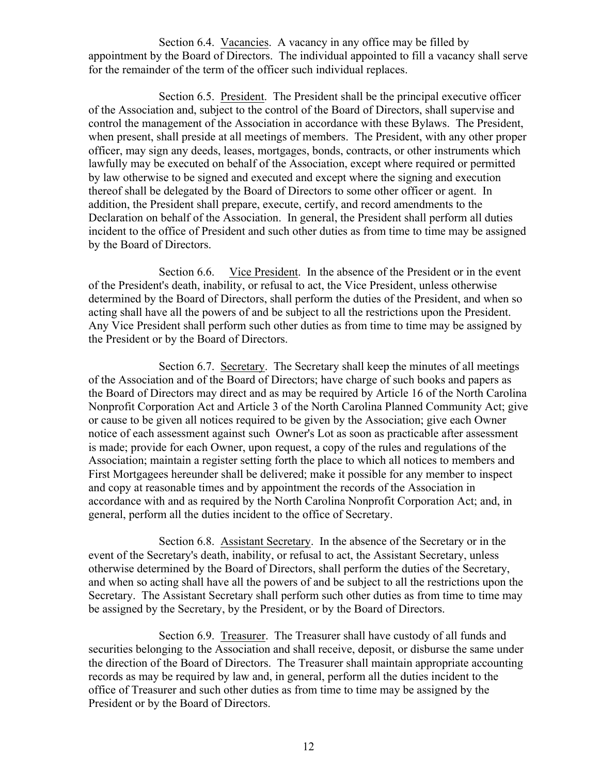Section 6.4. Vacancies. A vacancy in any office may be filled by appointment by the Board of Directors. The individual appointed to fill a vacancy shall serve for the remainder of the term of the officer such individual replaces.

Section 6.5. President. The President shall be the principal executive officer of the Association and, subject to the control of the Board of Directors, shall supervise and control the management of the Association in accordance with these Bylaws. The President, when present, shall preside at all meetings of members. The President, with any other proper officer, may sign any deeds, leases, mortgages, bonds, contracts, or other instruments which lawfully may be executed on behalf of the Association, except where required or permitted by law otherwise to be signed and executed and except where the signing and execution thereof shall be delegated by the Board of Directors to some other officer or agent. In addition, the President shall prepare, execute, certify, and record amendments to the Declaration on behalf of the Association. In general, the President shall perform all duties incident to the office of President and such other duties as from time to time may be assigned by the Board of Directors.

Section 6.6. Vice President. In the absence of the President or in the event of the President's death, inability, or refusal to act, the Vice President, unless otherwise determined by the Board of Directors, shall perform the duties of the President, and when so acting shall have all the powers of and be subject to all the restrictions upon the President. Any Vice President shall perform such other duties as from time to time may be assigned by the President or by the Board of Directors.

Section 6.7. Secretary. The Secretary shall keep the minutes of all meetings of the Association and of the Board of Directors; have charge of such books and papers as the Board of Directors may direct and as may be required by Article 16 of the North Carolina Nonprofit Corporation Act and Article 3 of the North Carolina Planned Community Act; give or cause to be given all notices required to be given by the Association; give each Owner notice of each assessment against such Owner's Lot as soon as practicable after assessment is made; provide for each Owner, upon request, a copy of the rules and regulations of the Association; maintain a register setting forth the place to which all notices to members and First Mortgagees hereunder shall be delivered; make it possible for any member to inspect and copy at reasonable times and by appointment the records of the Association in accordance with and as required by the North Carolina Nonprofit Corporation Act; and, in general, perform all the duties incident to the office of Secretary.

Section 6.8. Assistant Secretary. In the absence of the Secretary or in the event of the Secretary's death, inability, or refusal to act, the Assistant Secretary, unless otherwise determined by the Board of Directors, shall perform the duties of the Secretary, and when so acting shall have all the powers of and be subject to all the restrictions upon the Secretary. The Assistant Secretary shall perform such other duties as from time to time may be assigned by the Secretary, by the President, or by the Board of Directors.

Section 6.9. Treasurer. The Treasurer shall have custody of all funds and securities belonging to the Association and shall receive, deposit, or disburse the same under the direction of the Board of Directors. The Treasurer shall maintain appropriate accounting records as may be required by law and, in general, perform all the duties incident to the office of Treasurer and such other duties as from time to time may be assigned by the President or by the Board of Directors.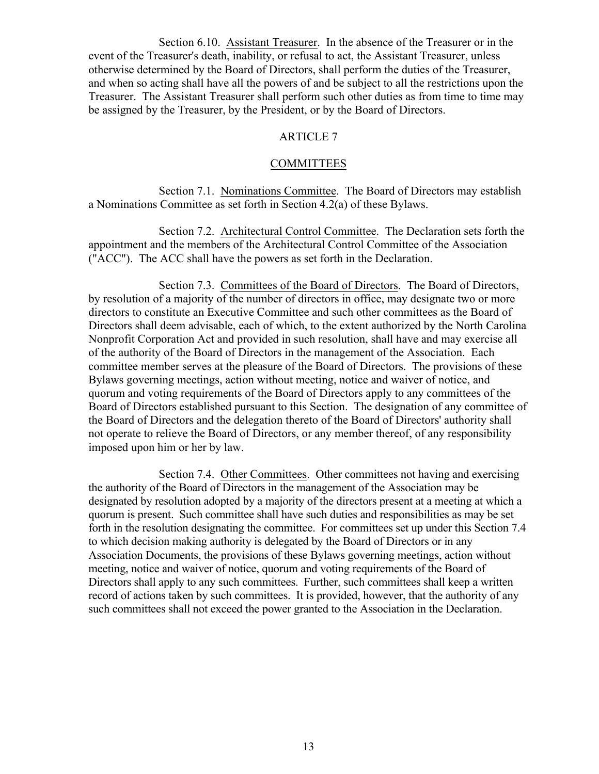Section 6.10. Assistant Treasurer. In the absence of the Treasurer or in the event of the Treasurer's death, inability, or refusal to act, the Assistant Treasurer, unless otherwise determined by the Board of Directors, shall perform the duties of the Treasurer, and when so acting shall have all the powers of and be subject to all the restrictions upon the Treasurer. The Assistant Treasurer shall perform such other duties as from time to time may be assigned by the Treasurer, by the President, or by the Board of Directors.

# ARTICLE 7

## **COMMITTEES**

Section 7.1. Nominations Committee. The Board of Directors may establish a Nominations Committee as set forth in Section 4.2(a) of these Bylaws.

Section 7.2. Architectural Control Committee. The Declaration sets forth the appointment and the members of the Architectural Control Committee of the Association ("ACC"). The ACC shall have the powers as set forth in the Declaration.

Section 7.3. Committees of the Board of Directors. The Board of Directors, by resolution of a majority of the number of directors in office, may designate two or more directors to constitute an Executive Committee and such other committees as the Board of Directors shall deem advisable, each of which, to the extent authorized by the North Carolina Nonprofit Corporation Act and provided in such resolution, shall have and may exercise all of the authority of the Board of Directors in the management of the Association. Each committee member serves at the pleasure of the Board of Directors. The provisions of these Bylaws governing meetings, action without meeting, notice and waiver of notice, and quorum and voting requirements of the Board of Directors apply to any committees of the Board of Directors established pursuant to this Section. The designation of any committee of the Board of Directors and the delegation thereto of the Board of Directors' authority shall not operate to relieve the Board of Directors, or any member thereof, of any responsibility imposed upon him or her by law.

Section 7.4. Other Committees. Other committees not having and exercising the authority of the Board of Directors in the management of the Association may be designated by resolution adopted by a majority of the directors present at a meeting at which a quorum is present. Such committee shall have such duties and responsibilities as may be set forth in the resolution designating the committee. For committees set up under this Section 7.4 to which decision making authority is delegated by the Board of Directors or in any Association Documents, the provisions of these Bylaws governing meetings, action without meeting, notice and waiver of notice, quorum and voting requirements of the Board of Directors shall apply to any such committees. Further, such committees shall keep a written record of actions taken by such committees. It is provided, however, that the authority of any such committees shall not exceed the power granted to the Association in the Declaration.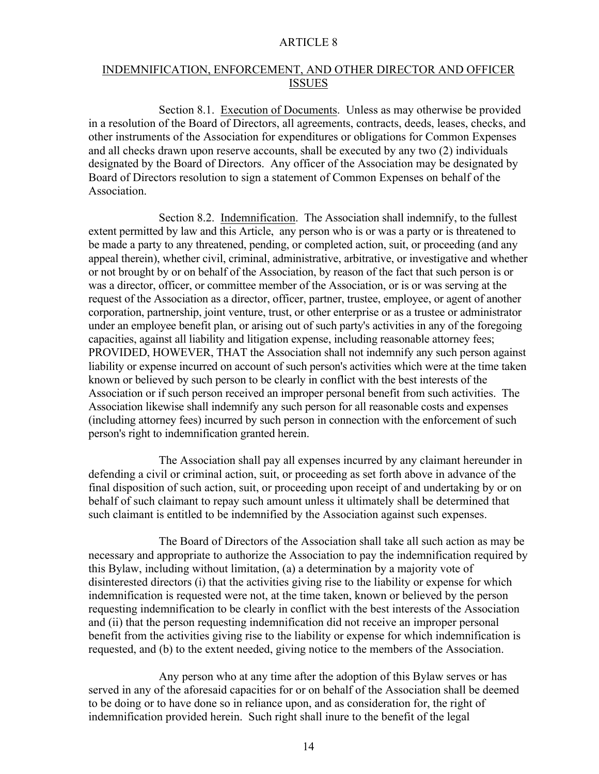## INDEMNIFICATION, ENFORCEMENT, AND OTHER DIRECTOR AND OFFICER **ISSUES**

Section 8.1. Execution of Documents. Unless as may otherwise be provided in a resolution of the Board of Directors, all agreements, contracts, deeds, leases, checks, and other instruments of the Association for expenditures or obligations for Common Expenses and all checks drawn upon reserve accounts, shall be executed by any two (2) individuals designated by the Board of Directors. Any officer of the Association may be designated by Board of Directors resolution to sign a statement of Common Expenses on behalf of the Association.

Section 8.2. Indemnification. The Association shall indemnify, to the fullest extent permitted by law and this Article, any person who is or was a party or is threatened to be made a party to any threatened, pending, or completed action, suit, or proceeding (and any appeal therein), whether civil, criminal, administrative, arbitrative, or investigative and whether or not brought by or on behalf of the Association, by reason of the fact that such person is or was a director, officer, or committee member of the Association, or is or was serving at the request of the Association as a director, officer, partner, trustee, employee, or agent of another corporation, partnership, joint venture, trust, or other enterprise or as a trustee or administrator under an employee benefit plan, or arising out of such party's activities in any of the foregoing capacities, against all liability and litigation expense, including reasonable attorney fees; PROVIDED, HOWEVER, THAT the Association shall not indemnify any such person against liability or expense incurred on account of such person's activities which were at the time taken known or believed by such person to be clearly in conflict with the best interests of the Association or if such person received an improper personal benefit from such activities. The Association likewise shall indemnify any such person for all reasonable costs and expenses (including attorney fees) incurred by such person in connection with the enforcement of such person's right to indemnification granted herein.

The Association shall pay all expenses incurred by any claimant hereunder in defending a civil or criminal action, suit, or proceeding as set forth above in advance of the final disposition of such action, suit, or proceeding upon receipt of and undertaking by or on behalf of such claimant to repay such amount unless it ultimately shall be determined that such claimant is entitled to be indemnified by the Association against such expenses.

The Board of Directors of the Association shall take all such action as may be necessary and appropriate to authorize the Association to pay the indemnification required by this Bylaw, including without limitation, (a) a determination by a majority vote of disinterested directors (i) that the activities giving rise to the liability or expense for which indemnification is requested were not, at the time taken, known or believed by the person requesting indemnification to be clearly in conflict with the best interests of the Association and (ii) that the person requesting indemnification did not receive an improper personal benefit from the activities giving rise to the liability or expense for which indemnification is requested, and (b) to the extent needed, giving notice to the members of the Association.

Any person who at any time after the adoption of this Bylaw serves or has served in any of the aforesaid capacities for or on behalf of the Association shall be deemed to be doing or to have done so in reliance upon, and as consideration for, the right of indemnification provided herein. Such right shall inure to the benefit of the legal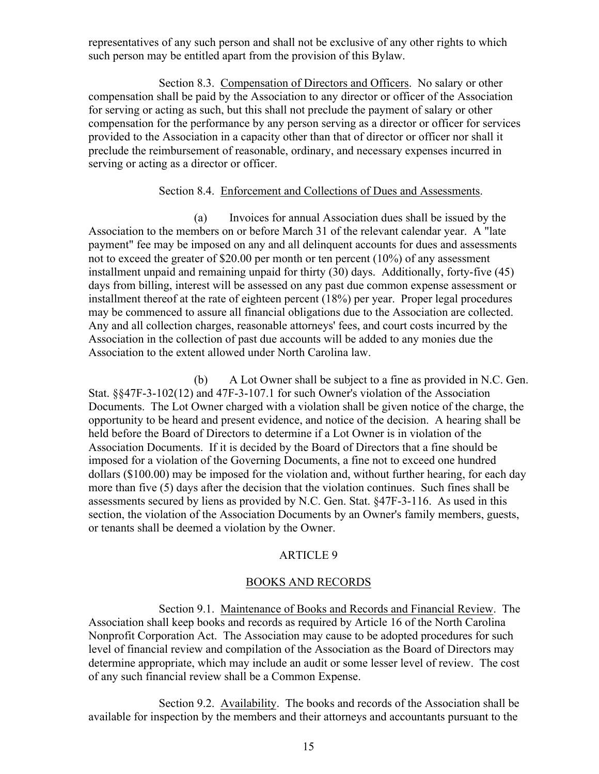representatives of any such person and shall not be exclusive of any other rights to which such person may be entitled apart from the provision of this Bylaw.

Section 8.3. Compensation of Directors and Officers. No salary or other compensation shall be paid by the Association to any director or officer of the Association for serving or acting as such, but this shall not preclude the payment of salary or other compensation for the performance by any person serving as a director or officer for services provided to the Association in a capacity other than that of director or officer nor shall it preclude the reimbursement of reasonable, ordinary, and necessary expenses incurred in serving or acting as a director or officer.

# Section 8.4. Enforcement and Collections of Dues and Assessments.

(a) Invoices for annual Association dues shall be issued by the Association to the members on or before March 31 of the relevant calendar year. A "late payment" fee may be imposed on any and all delinquent accounts for dues and assessments not to exceed the greater of \$20.00 per month or ten percent (10%) of any assessment installment unpaid and remaining unpaid for thirty (30) days. Additionally, forty-five (45) days from billing, interest will be assessed on any past due common expense assessment or installment thereof at the rate of eighteen percent (18%) per year. Proper legal procedures may be commenced to assure all financial obligations due to the Association are collected. Any and all collection charges, reasonable attorneys' fees, and court costs incurred by the Association in the collection of past due accounts will be added to any monies due the Association to the extent allowed under North Carolina law.

(b) A Lot Owner shall be subject to a fine as provided in N.C. Gen. Stat. §§47F-3-102(12) and 47F-3-107.1 for such Owner's violation of the Association Documents. The Lot Owner charged with a violation shall be given notice of the charge, the opportunity to be heard and present evidence, and notice of the decision. A hearing shall be held before the Board of Directors to determine if a Lot Owner is in violation of the Association Documents. If it is decided by the Board of Directors that a fine should be imposed for a violation of the Governing Documents, a fine not to exceed one hundred dollars (\$100.00) may be imposed for the violation and, without further hearing, for each day more than five (5) days after the decision that the violation continues. Such fines shall be assessments secured by liens as provided by N.C. Gen. Stat. §47F-3-116. As used in this section, the violation of the Association Documents by an Owner's family members, guests, or tenants shall be deemed a violation by the Owner.

# ARTICLE 9

## BOOKS AND RECORDS

Section 9.1. Maintenance of Books and Records and Financial Review. The Association shall keep books and records as required by Article 16 of the North Carolina Nonprofit Corporation Act. The Association may cause to be adopted procedures for such level of financial review and compilation of the Association as the Board of Directors may determine appropriate, which may include an audit or some lesser level of review. The cost of any such financial review shall be a Common Expense.

Section 9.2. Availability. The books and records of the Association shall be available for inspection by the members and their attorneys and accountants pursuant to the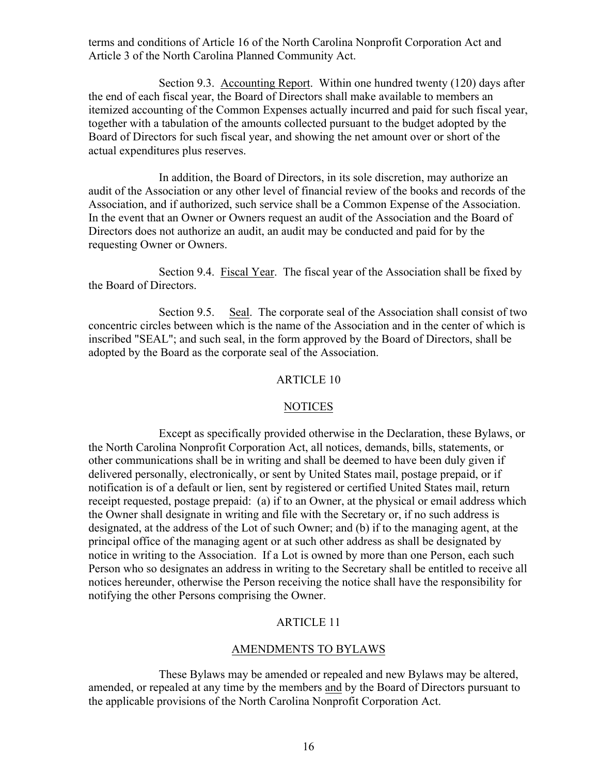terms and conditions of Article 16 of the North Carolina Nonprofit Corporation Act and Article 3 of the North Carolina Planned Community Act.

Section 9.3. Accounting Report. Within one hundred twenty (120) days after the end of each fiscal year, the Board of Directors shall make available to members an itemized accounting of the Common Expenses actually incurred and paid for such fiscal year, together with a tabulation of the amounts collected pursuant to the budget adopted by the Board of Directors for such fiscal year, and showing the net amount over or short of the actual expenditures plus reserves.

In addition, the Board of Directors, in its sole discretion, may authorize an audit of the Association or any other level of financial review of the books and records of the Association, and if authorized, such service shall be a Common Expense of the Association. In the event that an Owner or Owners request an audit of the Association and the Board of Directors does not authorize an audit, an audit may be conducted and paid for by the requesting Owner or Owners.

Section 9.4. Fiscal Year. The fiscal year of the Association shall be fixed by the Board of Directors.

Section 9.5. Seal. The corporate seal of the Association shall consist of two concentric circles between which is the name of the Association and in the center of which is inscribed "SEAL"; and such seal, in the form approved by the Board of Directors, shall be adopted by the Board as the corporate seal of the Association.

## ARTICLE 10

## NOTICES

Except as specifically provided otherwise in the Declaration, these Bylaws, or the North Carolina Nonprofit Corporation Act, all notices, demands, bills, statements, or other communications shall be in writing and shall be deemed to have been duly given if delivered personally, electronically, or sent by United States mail, postage prepaid, or if notification is of a default or lien, sent by registered or certified United States mail, return receipt requested, postage prepaid: (a) if to an Owner, at the physical or email address which the Owner shall designate in writing and file with the Secretary or, if no such address is designated, at the address of the Lot of such Owner; and (b) if to the managing agent, at the principal office of the managing agent or at such other address as shall be designated by notice in writing to the Association. If a Lot is owned by more than one Person, each such Person who so designates an address in writing to the Secretary shall be entitled to receive all notices hereunder, otherwise the Person receiving the notice shall have the responsibility for notifying the other Persons comprising the Owner.

## ARTICLE 11

## AMENDMENTS TO BYLAWS

These Bylaws may be amended or repealed and new Bylaws may be altered, amended, or repealed at any time by the members and by the Board of Directors pursuant to the applicable provisions of the North Carolina Nonprofit Corporation Act.